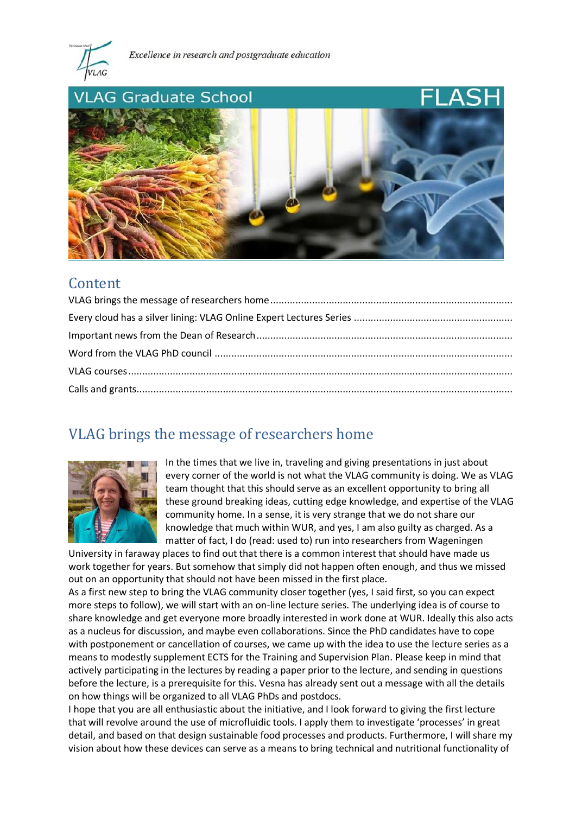

Excellence in research and postgraduate education



### Content

## <span id="page-0-0"></span>VLAG brings the message of researchers home



In the times that we live in, traveling and giving presentations in just about every corner of the world is not what the VLAG community is doing. We as VLAG team thought that this should serve as an excellent opportunity to bring all these ground breaking ideas, cutting edge knowledge, and expertise of the VLAG community home. In a sense, it is very strange that we do not share our knowledge that much within WUR, and yes, I am also guilty as charged. As a matter of fact, I do (read: used to) run into researchers from Wageningen

University in faraway places to find out that there is a common interest that should have made us work together for years. But somehow that simply did not happen often enough, and thus we missed out on an opportunity that should not have been missed in the first place.

As a first new step to bring the VLAG community closer together (yes, I said first, so you can expect more steps to follow), we will start with an on-line lecture series. The underlying idea is of course to share knowledge and get everyone more broadly interested in work done at WUR. Ideally this also acts as a nucleus for discussion, and maybe even collaborations. Since the PhD candidates have to cope with postponement or cancellation of courses, we came up with the idea to use the lecture series as a means to modestly supplement ECTS for the Training and Supervision Plan. Please keep in mind that actively participating in the lectures by reading a paper prior to the lecture, and sending in questions before the lecture, is a prerequisite for this. Vesna has already sent out a message with all the details on how things will be organized to all VLAG PhDs and postdocs.

I hope that you are all enthusiastic about the initiative, and I look forward to giving the first lecture that will revolve around the use of microfluidic tools. I apply them to investigate 'processes' in great detail, and based on that design sustainable food processes and products. Furthermore, I will share my vision about how these devices can serve as a means to bring technical and nutritional functionality of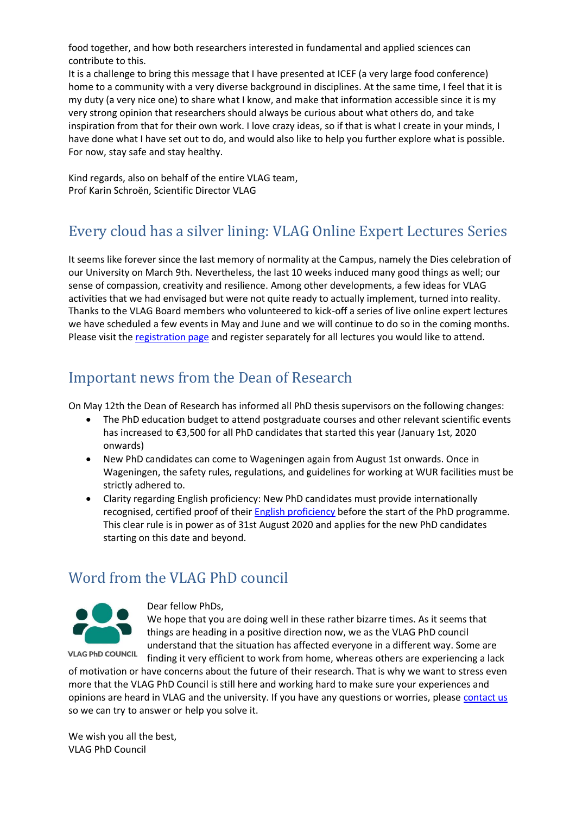food together, and how both researchers interested in fundamental and applied sciences can contribute to this.

It is a challenge to bring this message that I have presented at ICEF (a very large food conference) home to a community with a very diverse background in disciplines. At the same time, I feel that it is my duty (a very nice one) to share what I know, and make that information accessible since it is my very strong opinion that researchers should always be curious about what others do, and take inspiration from that for their own work. I love crazy ideas, so if that is what I create in your minds, I have done what I have set out to do, and would also like to help you further explore what is possible. For now, stay safe and stay healthy.

Kind regards, also on behalf of the entire VLAG team, Prof Karin Schroën, Scientific Director VLAG

# <span id="page-1-0"></span>Every cloud has a silver lining: VLAG Online Expert Lectures Series

It seems like forever since the last memory of normality at the Campus, namely the Dies celebration of our University on March 9th. Nevertheless, the last 10 weeks induced many good things as well; our sense of compassion, creativity and resilience. Among other developments, a few ideas for VLAG activities that we had envisaged but were not quite ready to actually implement, turned into reality. Thanks to the VLAG Board members who volunteered to kick-off a series of live online expert lectures we have scheduled a few events in May and June and we will continue to do so in the coming months. Please visit the [registration page](https://vlag.crs.wur.nl/courses/details/404/) and register separately for all lectures you would like to attend.

### <span id="page-1-1"></span>Important news from the Dean of Research

On May 12th the Dean of Research has informed all PhD thesis supervisors on the following changes:

- The PhD education budget to attend postgraduate courses and other relevant scientific events has increased to €3,500 for all PhD candidates that started this year (January 1st, 2020 onwards)
- New PhD candidates can come to Wageningen again from August 1st onwards. Once in Wageningen, the safety rules, regulations, and guidelines for working at WUR facilities must be strictly adhered to.
- Clarity regarding English proficiency: New PhD candidates must provide internationally recognised, certified proof of their **English proficiency** before the start of the PhD programme. This clear rule is in power as of 31st August 2020 and applies for the new PhD candidates starting on this date and beyond.

### <span id="page-1-2"></span>Word from the VLAG PhD council



**VLAG PhD COUNCIL** 

Dear fellow PhDs,

We hope that you are doing well in these rather bizarre times. As it seems that things are heading in a positive direction now, we as the VLAG PhD council understand that the situation has affected everyone in a different way. Some are finding it very efficient to work from home, whereas others are experiencing a lack

of motivation or have concerns about the future of their research. That is why we want to stress even more that the VLAG PhD Council is still here and working hard to make sure your experiences and opinions are heard in VLAG and the university. If you have any questions or worries, please [contact us](mailto:PhDcouncil.vlag@wur.nl) so we can try to answer or help you solve it.

We wish you all the best, VLAG PhD Council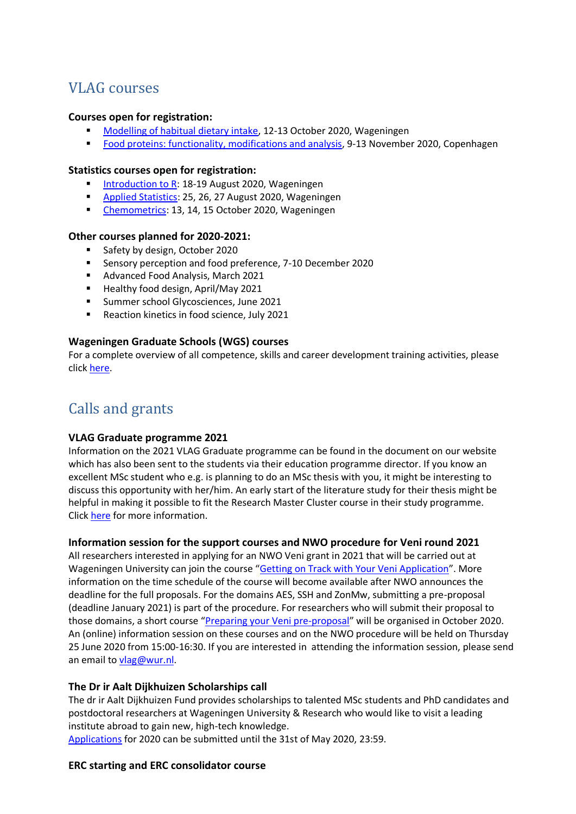## <span id="page-2-0"></span>VLAG courses

#### **Courses open for registration:**

- [Modelling of habitual dietary intake,](https://vlag.crs.wur.nl/courses/details/277/) 12-13 October 2020, Wageningen
- [Food proteins: functionality, modifications and analysis,](https://www.vlaggraduateschool.nl/en/courses/course/Food-Proteins-2020.htm) 9-13 November 2020, Copenhagen

#### **Statistics courses open for registration:**

- [Introduction to R:](https://vlag.crs.wur.nl/courses/details/296/) 18-19 August 2020, Wageningen
- [Applied Statistics:](https://vlag.crs.wur.nl/courses/details/297/) 25, 26, 27 August 2020, Wageningen
- [Chemometrics:](https://vlag.crs.wur.nl/courses/details/298/) 13, 14, 15 October 2020, Wageningen

#### **Other courses planned for 2020-2021:**

- Safety by design, October 2020
- Sensory perception and food preference, 7-10 December 2020
- Advanced Food Analysis, March 2021
- Healthy food design, April/May 2021
- Summer school Glycosciences, June 2021
- Reaction kinetics in food science, July 2021

#### **Wageningen Graduate Schools (WGS) courses**

For a complete overview of all competence, skills and career development training activities, please clic[k here.](https://wgs.crs.wur.nl/courses/details/113/)

## <span id="page-2-1"></span>Calls and grants

#### **VLAG Graduate programme 2021**

Information on the 2021 VLAG Graduate programme can be found in the document on our website which has also been sent to the students via their education programme director. If you know an excellent MSc student who e.g. is planning to do an MSc thesis with you, it might be interesting to discuss this opportunity with her/him. An early start of the literature study for their thesis might be helpful in making it possible to fit the Research Master Cluster course in their study programme. Click [here](https://www.vlaggraduateschool.nl/en/research/VLAG-calls.htm) for more information.

#### **Information session for the support courses and NWO procedure for Veni round 2021**

All researchers interested in applying for an NWO Veni grant in 2021 that will be carried out at Wageningen University can join the course "[Getting on Track with Your Veni Application](https://wgs.crs.wur.nl/courses/details/113/)". More information on the time schedule of the course will become available after NWO announces the deadline for the full proposals. For the domains AES, SSH and ZonMw, submitting a pre-proposal (deadline January 2021) is part of the procedure. For researchers who will submit their proposal to those domains, a short course "[Preparing your Veni pre-proposal](https://wgs.crs.wur.nl/courses/details/314/)" will be organised in October 2020. An (online) information session on these courses and on the NWO procedure will be held on Thursday 25 June 2020 from 15:00-16:30. If you are interested in attending the information session, please send an email to [vlag@wur.nl.](vlag@wur.nl)

#### **The Dr ir Aalt Dijkhuizen Scholarships call**

The dr ir Aalt Dijkhuizen Fund provides scholarships to talented MSc students and PhD candidates and postdoctoral researchers at Wageningen University & Research who would like to visit a leading institute abroad to gain new, high-tech knowledge.

[Applications](https://www.wur.nl/en/Benefactors/Areas-to-support/The-funds-of-the-University-Fund-Wageningen/Contribute-to-talent/Dr.-ir.-Aalt-Dijkhuizen-Fund.htm) for 2020 can be submitted until the 31st of May 2020, 23:59.

#### **ERC starting and ERC consolidator course**